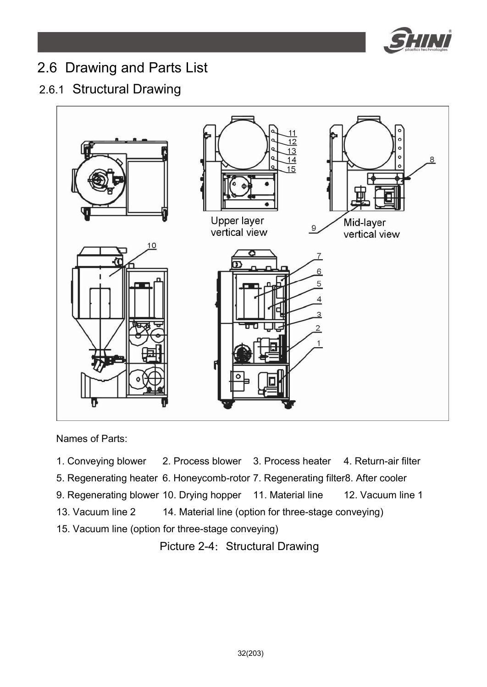

# 2.6 Drawing and Parts List

## 2.6.1 Structural Drawing



Names of Parts:

- 1. Conveying blower 2. Process blower 3. Process heater 4. Return-air filter
- 5. Regenerating heater 6. Honeycomb-rotor 7. Regenerating filter8. After cooler
- 9. Regenerating blower 10. Drying hopper 11. Material line 12. Vacuum line 1
- 13. Vacuum line 2 14. Material line (option for three-stage conveying)
- 15. Vacuum line (option for three-stage conveying)

Picture 2-4: Structural Drawing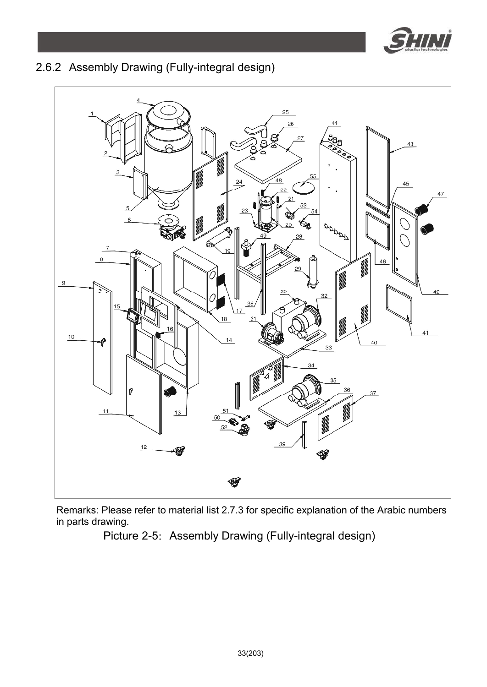

## 2.6.2 Assembly Drawing (Fully-integral design)



Remarks: Please refer to material list 2.7.3 for specific explanation of the Arabic numbers in parts drawing.

Picture 2-5: Assembly Drawing (Fully-integral design)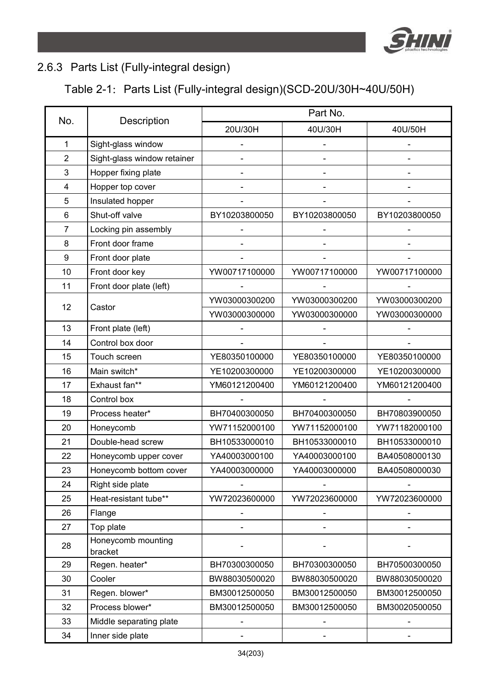

## 2.6.3 Parts List (Fully-integral design)

## Table 2-1: Parts List (Fully-integral design)(SCD-20U/30H~40U/50H)

| No.            | Description                   | Part No.      |                          |               |  |
|----------------|-------------------------------|---------------|--------------------------|---------------|--|
|                |                               | 20U/30H       | 40U/30H                  | 40U/50H       |  |
| $\mathbf{1}$   | Sight-glass window            |               |                          |               |  |
| $\overline{2}$ | Sight-glass window retainer   |               |                          |               |  |
| 3              | Hopper fixing plate           |               | $\overline{\phantom{a}}$ |               |  |
| 4              | Hopper top cover              |               | $\overline{\phantom{0}}$ |               |  |
| 5              | Insulated hopper              |               | $\overline{\phantom{a}}$ |               |  |
| 6              | Shut-off valve                | BY10203800050 | BY10203800050            | BY10203800050 |  |
| 7              | Locking pin assembly          |               |                          |               |  |
| 8              | Front door frame              |               |                          |               |  |
| 9              | Front door plate              |               |                          |               |  |
| 10             | Front door key                | YW00717100000 | YW00717100000            | YW00717100000 |  |
| 11             | Front door plate (left)       |               |                          |               |  |
| 12             | Castor                        | YW03000300200 | YW03000300200            | YW03000300200 |  |
|                |                               | YW03000300000 | YW03000300000            | YW03000300000 |  |
| 13             | Front plate (left)            |               |                          |               |  |
| 14             | Control box door              |               |                          |               |  |
| 15             | Touch screen                  | YE80350100000 | YE80350100000            | YE80350100000 |  |
| 16             | Main switch*                  | YE10200300000 | YE10200300000            | YE10200300000 |  |
| 17             | Exhaust fan**                 | YM60121200400 | YM60121200400            | YM60121200400 |  |
| 18             | Control box                   |               |                          |               |  |
| 19             | Process heater*               | BH70400300050 | BH70400300050            | BH70803900050 |  |
| 20             | Honeycomb                     | YW71152000100 | YW71152000100            | YW71182000100 |  |
| 21             | Double-head screw             | BH10533000010 | BH10533000010            | BH10533000010 |  |
| 22             | Honeycomb upper cover         | YA40003000100 | YA40003000100            | BA40508000130 |  |
| 23             | Honeycomb bottom cover        | YA40003000000 | YA40003000000            | BA40508000030 |  |
| 24             | Right side plate              |               |                          |               |  |
| 25             | Heat-resistant tube**         | YW72023600000 | YW72023600000            | YW72023600000 |  |
| 26             | Flange                        |               |                          |               |  |
| 27             | Top plate                     |               |                          |               |  |
| 28             | Honeycomb mounting<br>bracket |               |                          |               |  |
| 29             | Regen. heater*                | BH70300300050 | BH70300300050            | BH70500300050 |  |
| 30             | Cooler                        | BW88030500020 | BW88030500020            | BW88030500020 |  |
| 31             | Regen. blower*                | BM30012500050 | BM30012500050            | BM30012500050 |  |
| 32             | Process blower*               | BM30012500050 | BM30012500050            | BM30020500050 |  |
| 33             | Middle separating plate       | -             |                          |               |  |
| 34             | Inner side plate              |               |                          |               |  |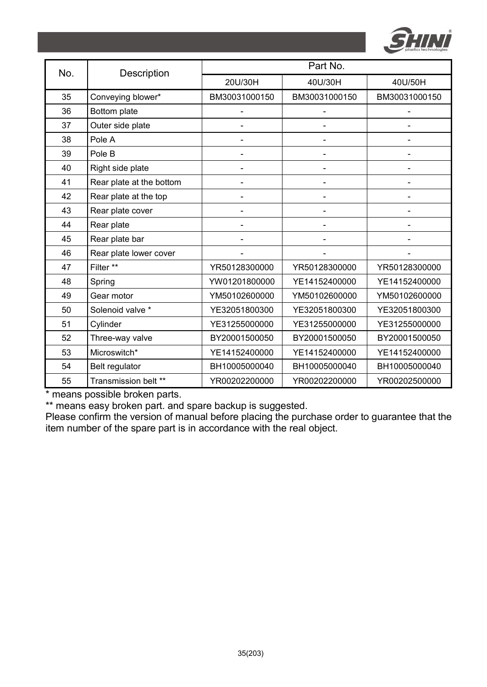

| No. | Description              | Part No.                     |                          |               |  |
|-----|--------------------------|------------------------------|--------------------------|---------------|--|
|     |                          | 20U/30H                      | 40U/30H                  | 40U/50H       |  |
| 35  | Conveying blower*        | BM30031000150                | BM30031000150            | BM30031000150 |  |
| 36  | Bottom plate             |                              |                          |               |  |
| 37  | Outer side plate         |                              |                          |               |  |
| 38  | Pole A                   |                              | $\overline{\phantom{a}}$ |               |  |
| 39  | Pole B                   | $\qquad \qquad \blacksquare$ |                          |               |  |
| 40  | Right side plate         |                              |                          |               |  |
| 41  | Rear plate at the bottom |                              |                          |               |  |
| 42  | Rear plate at the top    |                              |                          |               |  |
| 43  | Rear plate cover         | $\overline{\phantom{0}}$     | $\overline{\phantom{0}}$ |               |  |
| 44  | Rear plate               | $\qquad \qquad \blacksquare$ |                          |               |  |
| 45  | Rear plate bar           |                              |                          |               |  |
| 46  | Rear plate lower cover   |                              |                          |               |  |
| 47  | Filter **                | YR50128300000                | YR50128300000            | YR50128300000 |  |
| 48  | Spring                   | YW01201800000                | YE14152400000            | YE14152400000 |  |
| 49  | Gear motor               | YM50102600000                | YM50102600000            | YM50102600000 |  |
| 50  | Solenoid valve *         | YE32051800300                | YE32051800300            | YE32051800300 |  |
| 51  | Cylinder                 | YE31255000000                | YE31255000000            | YE31255000000 |  |
| 52  | Three-way valve          | BY20001500050                | BY20001500050            | BY20001500050 |  |
| 53  | Microswitch*             | YE14152400000                | YE14152400000            | YE14152400000 |  |
| 54  | Belt regulator           | BH10005000040                | BH10005000040            | BH10005000040 |  |
| 55  | Transmission belt **     | YR00202200000                | YR00202200000            | YR00202500000 |  |

\*\* means easy broken part. and spare backup is suggested.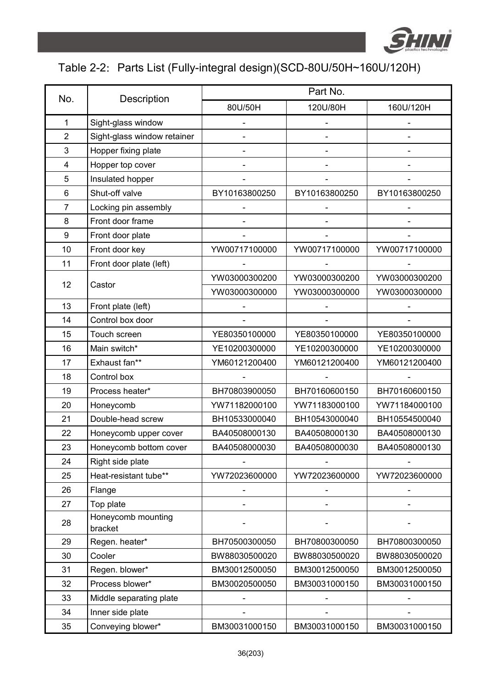

## Table 2-2: Parts List (Fully-integral design)(SCD-80U/50H~160U/120H)

|                |                               | Part No.      |               |               |  |
|----------------|-------------------------------|---------------|---------------|---------------|--|
| No.            | Description                   | 80U/50H       | 120U/80H      | 160U/120H     |  |
| $\mathbf{1}$   | Sight-glass window            |               |               |               |  |
| $\overline{2}$ | Sight-glass window retainer   |               |               |               |  |
| 3              | Hopper fixing plate           |               |               |               |  |
| 4              | Hopper top cover              |               |               |               |  |
| 5              | Insulated hopper              |               |               |               |  |
| 6              | Shut-off valve                | BY10163800250 | BY10163800250 | BY10163800250 |  |
| $\overline{7}$ | Locking pin assembly          |               |               |               |  |
| 8              | Front door frame              |               |               |               |  |
| 9              | Front door plate              |               |               |               |  |
| 10             | Front door key                | YW00717100000 | YW00717100000 | YW00717100000 |  |
| 11             | Front door plate (left)       |               |               |               |  |
| 12             | Castor                        | YW03000300200 | YW03000300200 | YW03000300200 |  |
|                |                               | YW03000300000 | YW03000300000 | YW03000300000 |  |
| 13             | Front plate (left)            |               |               |               |  |
| 14             | Control box door              |               |               |               |  |
| 15             | Touch screen                  | YE80350100000 | YE80350100000 | YE80350100000 |  |
| 16             | Main switch*                  | YE10200300000 | YE10200300000 | YE10200300000 |  |
| 17             | Exhaust fan**                 | YM60121200400 | YM60121200400 | YM60121200400 |  |
| 18             | Control box                   |               |               |               |  |
| 19             | Process heater*               | BH70803900050 | BH70160600150 | BH70160600150 |  |
| 20             | Honeycomb                     | YW71182000100 | YW71183000100 | YW71184000100 |  |
| 21             | Double-head screw             | BH10533000040 | BH10543000040 | BH10554500040 |  |
| 22             | Honeycomb upper cover         | BA40508000130 | BA40508000130 | BA40508000130 |  |
| 23             | Honeycomb bottom cover        | BA40508000030 | BA40508000030 | BA40508000130 |  |
| 24             | Right side plate              |               |               |               |  |
| 25             | Heat-resistant tube**         | YW72023600000 | YW72023600000 | YW72023600000 |  |
| 26             | Flange                        |               |               |               |  |
| 27             | Top plate                     |               |               |               |  |
| 28             | Honeycomb mounting<br>bracket |               |               |               |  |
| 29             | Regen. heater*                | BH70500300050 | BH70800300050 | BH70800300050 |  |
| 30             | Cooler                        | BW88030500020 | BW88030500020 | BW88030500020 |  |
| 31             | Regen. blower*                | BM30012500050 | BM30012500050 | BM30012500050 |  |
| 32             | Process blower*               | BM30020500050 | BM30031000150 | BM30031000150 |  |
| 33             | Middle separating plate       |               |               |               |  |
| 34             | Inner side plate              |               |               |               |  |
| 35             | Conveying blower*             | BM30031000150 | BM30031000150 | BM30031000150 |  |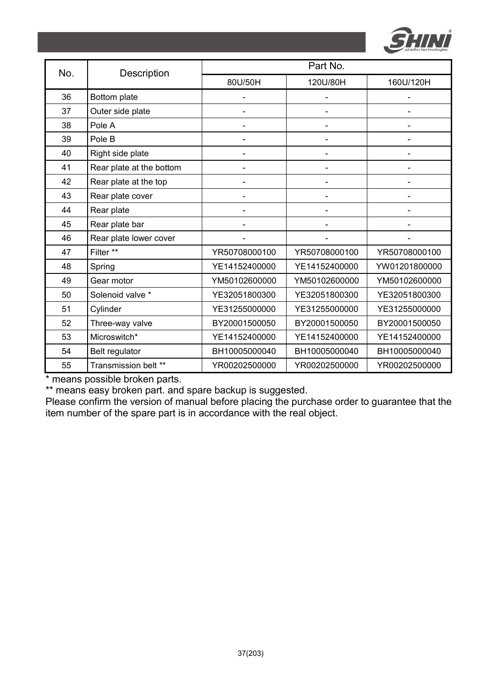

| No. | Description              | Part No.       |                          |               |  |
|-----|--------------------------|----------------|--------------------------|---------------|--|
|     |                          | 80U/50H        | 120U/80H                 | 160U/120H     |  |
| 36  | Bottom plate             |                |                          |               |  |
| 37  | Outer side plate         | $\overline{a}$ | $\overline{\phantom{0}}$ |               |  |
| 38  | Pole A                   |                |                          |               |  |
| 39  | Pole B                   |                |                          |               |  |
| 40  | Right side plate         | -              | $\overline{\phantom{0}}$ |               |  |
| 41  | Rear plate at the bottom |                |                          |               |  |
| 42  | Rear plate at the top    |                |                          |               |  |
| 43  | Rear plate cover         |                |                          |               |  |
| 44  | Rear plate               |                |                          |               |  |
| 45  | Rear plate bar           |                |                          |               |  |
| 46  | Rear plate lower cover   |                |                          |               |  |
| 47  | Filter **                | YR50708000100  | YR50708000100            | YR50708000100 |  |
| 48  | Spring                   | YE14152400000  | YE14152400000            | YW01201800000 |  |
| 49  | Gear motor               | YM50102600000  | YM50102600000            | YM50102600000 |  |
| 50  | Solenoid valve *         | YE32051800300  | YE32051800300            | YE32051800300 |  |
| 51  | Cylinder                 | YE31255000000  | YE31255000000            | YE31255000000 |  |
| 52  | Three-way valve          | BY20001500050  | BY20001500050            | BY20001500050 |  |
| 53  | Microswitch*             | YE14152400000  | YE14152400000            | YE14152400000 |  |
| 54  | Belt regulator           | BH10005000040  | BH10005000040            | BH10005000040 |  |
| 55  | Transmission belt **     | YR00202500000  | YR00202500000            | YR00202500000 |  |

\*\* means easy broken part. and spare backup is suggested.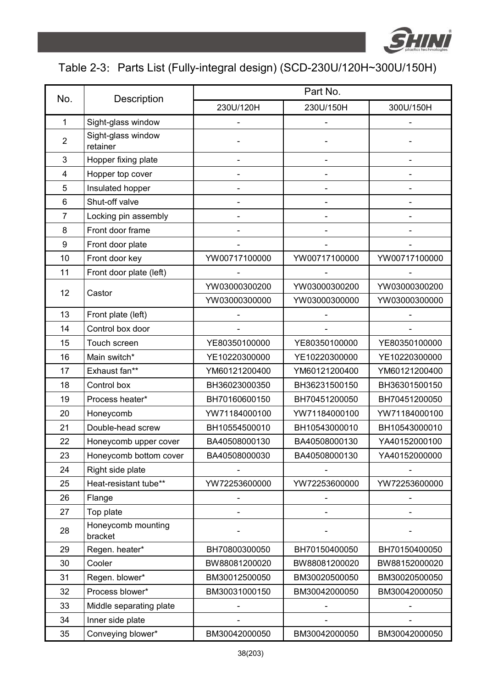

## Table 2-3: Parts List (Fully-integral design) (SCD-230U/120H~300U/150H)

| No.              |                                | Part No.      |                          |                              |  |
|------------------|--------------------------------|---------------|--------------------------|------------------------------|--|
|                  | Description                    | 230U/120H     | 230U/150H                | 300U/150H                    |  |
| $\mathbf{1}$     | Sight-glass window             |               |                          |                              |  |
| $\overline{2}$   | Sight-glass window<br>retainer |               |                          |                              |  |
| 3                | Hopper fixing plate            |               |                          |                              |  |
| 4                | Hopper top cover               |               |                          |                              |  |
| 5                | Insulated hopper               |               |                          |                              |  |
| 6                | Shut-off valve                 |               | $\overline{\phantom{0}}$ |                              |  |
| $\overline{7}$   | Locking pin assembly           |               |                          |                              |  |
| 8                | Front door frame               |               |                          |                              |  |
| $\boldsymbol{9}$ | Front door plate               |               |                          |                              |  |
| 10               | Front door key                 | YW00717100000 | YW00717100000            | YW00717100000                |  |
| 11               | Front door plate (left)        |               |                          |                              |  |
| 12               | Castor                         | YW03000300200 | YW03000300200            | YW03000300200                |  |
|                  |                                | YW03000300000 | YW03000300000            | YW03000300000                |  |
| 13               | Front plate (left)             |               |                          |                              |  |
| 14               | Control box door               |               |                          |                              |  |
| 15               | Touch screen                   | YE80350100000 | YE80350100000            | YE80350100000                |  |
| 16               | Main switch*                   | YE10220300000 | YE10220300000            | YE10220300000                |  |
| 17               | Exhaust fan**                  | YM60121200400 | YM60121200400            | YM60121200400                |  |
| 18               | Control box                    | BH36023000350 | BH36231500150            | BH36301500150                |  |
| 19               | Process heater*                | BH70160600150 | BH70451200050            | BH70451200050                |  |
| 20               | Honeycomb                      | YW71184000100 | YW71184000100            | YW71184000100                |  |
| 21               | Double-head screw              | BH10554500010 | BH10543000010            | BH10543000010                |  |
| 22               | Honeycomb upper cover          | BA40508000130 | BA40508000130            | YA40152000100                |  |
| 23               | Honeycomb bottom cover         | BA40508000030 | BA40508000130            | YA40152000000                |  |
| 24               | Right side plate               |               |                          |                              |  |
| 25               | Heat-resistant tube**          | YW72253600000 | YW72253600000            | YW72253600000                |  |
| 26               | Flange                         |               |                          | $\qquad \qquad \blacksquare$ |  |
| 27               | Top plate                      |               |                          |                              |  |
| 28               | Honeycomb mounting<br>bracket  |               |                          |                              |  |
| 29               | Regen. heater*                 | BH70800300050 | BH70150400050            | BH70150400050                |  |
| 30               | Cooler                         | BW88081200020 | BW88081200020            | BW88152000020                |  |
| 31               | Regen. blower*                 | BM30012500050 | BM30020500050            | BM30020500050                |  |
| 32               | Process blower*                | BM30031000150 | BM30042000050            | BM30042000050                |  |
| 33               | Middle separating plate        |               |                          |                              |  |
| 34               | Inner side plate               |               |                          |                              |  |
| 35               | Conveying blower*              | BM30042000050 | BM30042000050            | BM30042000050                |  |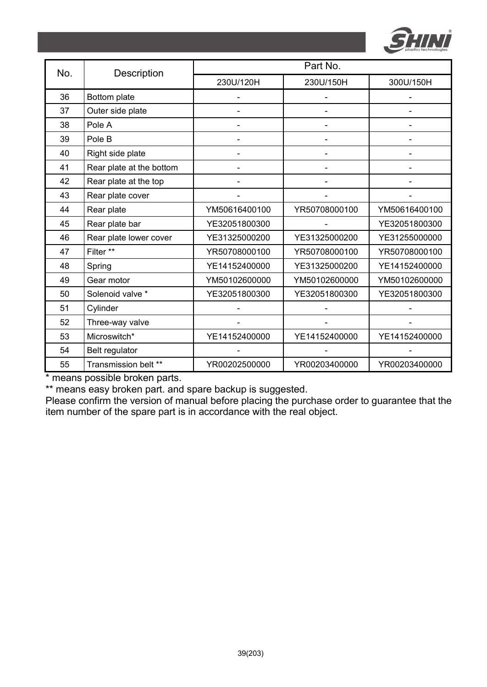

| No. | Description              | Part No.       |               |               |  |
|-----|--------------------------|----------------|---------------|---------------|--|
|     |                          | 230U/120H      | 230U/150H     | 300U/150H     |  |
| 36  | Bottom plate             |                |               |               |  |
| 37  | Outer side plate         |                |               |               |  |
| 38  | Pole A                   |                |               |               |  |
| 39  | Pole B                   |                |               |               |  |
| 40  | Right side plate         | $\overline{a}$ |               |               |  |
| 41  | Rear plate at the bottom |                |               |               |  |
| 42  | Rear plate at the top    |                |               |               |  |
| 43  | Rear plate cover         |                |               |               |  |
| 44  | Rear plate               | YM50616400100  | YR50708000100 | YM50616400100 |  |
| 45  | Rear plate bar           | YE32051800300  |               | YE32051800300 |  |
| 46  | Rear plate lower cover   | YE31325000200  | YE31325000200 | YE31255000000 |  |
| 47  | Filter **                | YR50708000100  | YR50708000100 | YR50708000100 |  |
| 48  | Spring                   | YE14152400000  | YE31325000200 | YE14152400000 |  |
| 49  | Gear motor               | YM50102600000  | YM50102600000 | YM50102600000 |  |
| 50  | Solenoid valve *         | YE32051800300  | YE32051800300 | YE32051800300 |  |
| 51  | Cylinder                 |                |               |               |  |
| 52  | Three-way valve          |                |               |               |  |
| 53  | Microswitch*             | YE14152400000  | YE14152400000 | YE14152400000 |  |
| 54  | Belt regulator           |                |               |               |  |
| 55  | Transmission belt **     | YR00202500000  | YR00203400000 | YR00203400000 |  |

\*\* means easy broken part. and spare backup is suggested.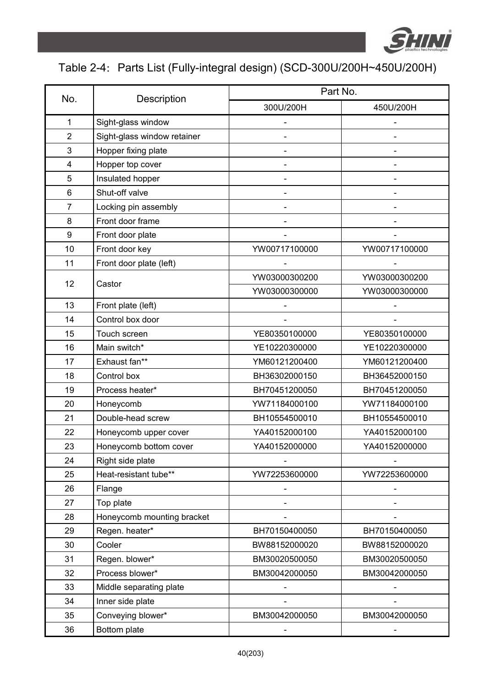

# Table 2-4: Parts List (Fully-integral design) (SCD-300U/200H~450U/200H)

|                  |                             | Part No.                 |               |  |
|------------------|-----------------------------|--------------------------|---------------|--|
| No.              | Description                 | 300U/200H                | 450U/200H     |  |
| $\mathbf{1}$     | Sight-glass window          |                          |               |  |
| $\overline{2}$   | Sight-glass window retainer |                          |               |  |
| 3                | Hopper fixing plate         |                          |               |  |
| 4                | Hopper top cover            |                          |               |  |
| 5                | Insulated hopper            |                          |               |  |
| 6                | Shut-off valve              |                          |               |  |
| $\overline{7}$   | Locking pin assembly        |                          |               |  |
| 8                | Front door frame            |                          |               |  |
| $\boldsymbol{9}$ | Front door plate            |                          |               |  |
| 10               | Front door key              | YW00717100000            | YW00717100000 |  |
| 11               | Front door plate (left)     |                          |               |  |
|                  |                             | YW03000300200            | YW03000300200 |  |
| 12               | Castor                      | YW03000300000            | YW03000300000 |  |
| 13               | Front plate (left)          |                          |               |  |
| 14               | Control box door            |                          |               |  |
| 15               | Touch screen                | YE80350100000            | YE80350100000 |  |
| 16               | Main switch*                | YE10220300000            | YE10220300000 |  |
| 17               | Exhaust fan**               | YM60121200400            | YM60121200400 |  |
| 18               | Control box                 | BH36302000150            | BH36452000150 |  |
| 19               | Process heater*             | BH70451200050            | BH70451200050 |  |
| 20               | Honeycomb                   | YW71184000100            | YW71184000100 |  |
| 21               | Double-head screw           | BH10554500010            | BH10554500010 |  |
| 22               | Honeycomb upper cover       | YA40152000100            | YA40152000100 |  |
| 23               | Honeycomb bottom cover      | YA40152000000            | YA40152000000 |  |
| 24               | Right side plate            |                          |               |  |
| 25               | Heat-resistant tube**       | YW72253600000            | YW72253600000 |  |
| 26               | Flange                      |                          |               |  |
| 27               | Top plate                   |                          |               |  |
| 28               | Honeycomb mounting bracket  |                          |               |  |
| 29               | Regen. heater*              | BH70150400050            | BH70150400050 |  |
| 30               | Cooler                      | BW88152000020            | BW88152000020 |  |
| 31               | Regen. blower*              | BM30020500050            | BM30020500050 |  |
| 32               | Process blower*             | BM30042000050            | BM30042000050 |  |
| 33               | Middle separating plate     |                          |               |  |
| 34               | Inner side plate            |                          |               |  |
| 35               | Conveying blower*           | BM30042000050            | BM30042000050 |  |
| 36               | Bottom plate                | $\overline{\phantom{0}}$ |               |  |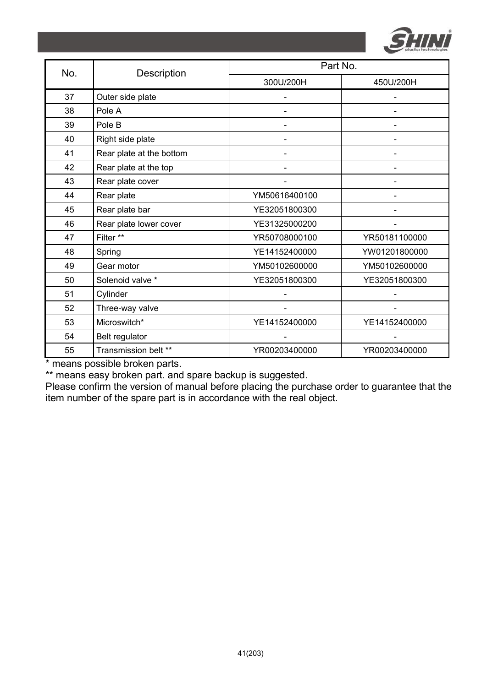

| No. |                          | Part No.      |               |  |
|-----|--------------------------|---------------|---------------|--|
|     | Description              | 300U/200H     | 450U/200H     |  |
| 37  | Outer side plate         |               |               |  |
| 38  | Pole A                   |               |               |  |
| 39  | Pole B                   |               |               |  |
| 40  | Right side plate         |               |               |  |
| 41  | Rear plate at the bottom |               |               |  |
| 42  | Rear plate at the top    |               |               |  |
| 43  | Rear plate cover         |               |               |  |
| 44  | Rear plate               | YM50616400100 |               |  |
| 45  | Rear plate bar           | YE32051800300 |               |  |
| 46  | Rear plate lower cover   | YE31325000200 |               |  |
| 47  | Filter **                | YR50708000100 | YR50181100000 |  |
| 48  | Spring                   | YE14152400000 | YW01201800000 |  |
| 49  | Gear motor               | YM50102600000 | YM50102600000 |  |
| 50  | Solenoid valve *         | YE32051800300 | YE32051800300 |  |
| 51  | Cylinder                 |               |               |  |
| 52  | Three-way valve          |               |               |  |
| 53  | Microswitch*             | YE14152400000 | YE14152400000 |  |
| 54  | Belt regulator           |               |               |  |
| 55  | Transmission belt **     | YR00203400000 | YR00203400000 |  |

\*\* means easy broken part. and spare backup is suggested.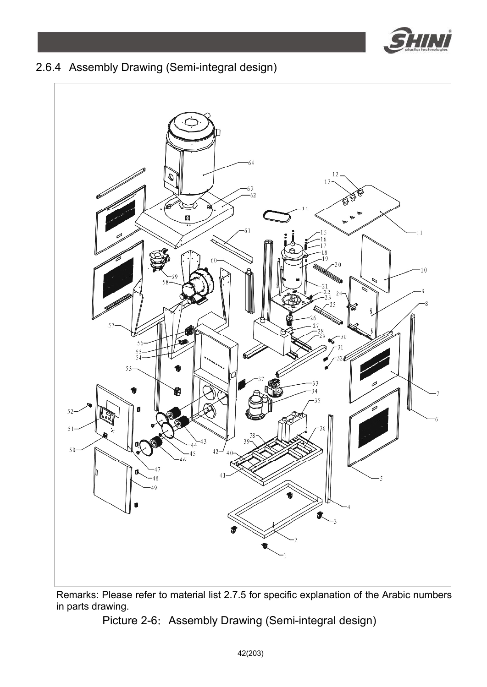

## 2.6.4 Assembly Drawing (Semi-integral design)



Remarks: Please refer to material list 2.7.5 for specific explanation of the Arabic numbers in parts drawing.

Picture 2-6: Assembly Drawing (Semi-integral design)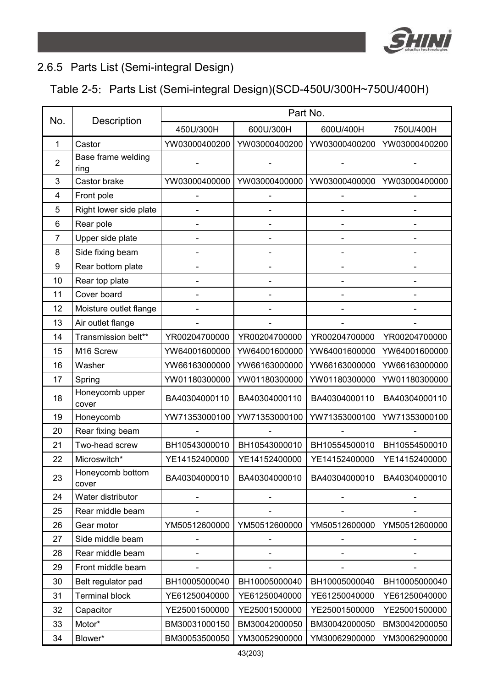

### 2.6.5 Parts List (Semi-integral Design)

### Table 2-5: Parts List (Semi-integral Design)(SCD-450U/300H~750U/400H)

| No. | Description                | Part No.      |                |                               |               |
|-----|----------------------------|---------------|----------------|-------------------------------|---------------|
|     |                            | 450U/300H     | 600U/300H      | 600U/400H                     | 750U/400H     |
| 1   | Castor                     | YW03000400200 | YW03000400200  | YW03000400200                 | YW03000400200 |
| 2   | Base frame welding<br>ring |               |                |                               |               |
| 3   | Castor brake               | YW03000400000 | YW03000400000  | YW03000400000                 | YW03000400000 |
| 4   | Front pole                 |               |                |                               |               |
| 5   | Right lower side plate     |               |                |                               |               |
| 6   | Rear pole                  |               |                |                               |               |
| 7   | Upper side plate           |               |                |                               |               |
| 8   | Side fixing beam           |               |                |                               |               |
| 9   | Rear bottom plate          | ÷             | $\overline{a}$ |                               | -             |
| 10  | Rear top plate             |               |                |                               |               |
| 11  | Cover board                |               |                |                               |               |
| 12  | Moisture outlet flange     |               |                |                               |               |
| 13  | Air outlet flange          |               |                |                               |               |
| 14  | Transmission belt**        | YR00204700000 | YR00204700000  | YR00204700000                 | YR00204700000 |
| 15  | M16 Screw                  | YW64001600000 | YW64001600000  | YW64001600000                 | YW64001600000 |
| 16  | Washer                     | YW66163000000 | YW66163000000  | YW66163000000                 | YW66163000000 |
| 17  | Spring                     | YW01180300000 | YW01180300000  | YW01180300000                 | YW01180300000 |
| 18  | Honeycomb upper<br>cover   | BA40304000110 | BA40304000110  | BA40304000110                 | BA40304000110 |
| 19  | Honeycomb                  | YW71353000100 | YW71353000100  | YW71353000100                 | YW71353000100 |
| 20  | Rear fixing beam           |               |                |                               |               |
| 21  | Two-head screw             | BH10543000010 | BH10543000010  | BH10554500010                 | BH10554500010 |
| 22  | Microswitch*               | YE14152400000 | YE14152400000  | YE14152400000                 | YE14152400000 |
| 23  | Honeycomb bottom<br>cover  | BA40304000010 | BA40304000010  | BA40304000010                 | BA40304000010 |
| 24  | Water distributor          |               |                |                               |               |
| 25  | Rear middle beam           |               |                |                               |               |
| 26  | Gear motor                 | YM50512600000 |                | YM50512600000   YM50512600000 | YM50512600000 |
| 27  | Side middle beam           |               |                |                               |               |
| 28  | Rear middle beam           |               |                |                               |               |
| 29  | Front middle beam          |               |                |                               |               |
| 30  | Belt regulator pad         | BH10005000040 | BH10005000040  | BH10005000040                 | BH10005000040 |
| 31  | <b>Terminal block</b>      | YE61250040000 | YE61250040000  | YE61250040000                 | YE61250040000 |
| 32  | Capacitor                  | YE25001500000 | YE25001500000  | YE25001500000                 | YE25001500000 |
| 33  | Motor*                     | BM30031000150 | BM30042000050  | BM30042000050                 | BM30042000050 |
| 34  | Blower*                    | BM30053500050 | YM30052900000  | YM30062900000                 | YM30062900000 |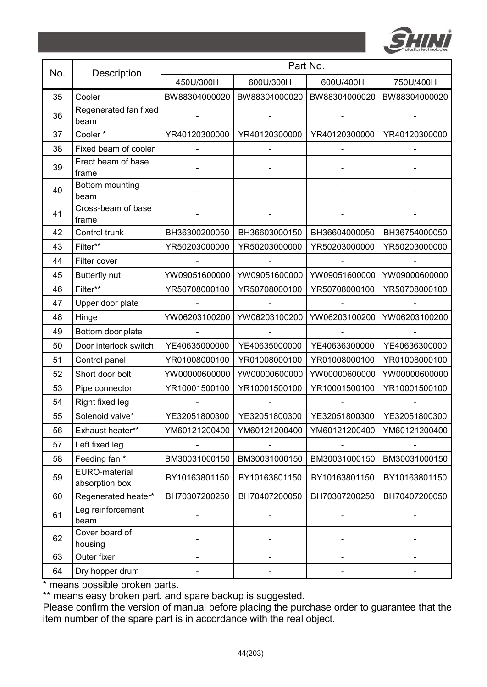

| No. | Description                     | Part No.      |               |               |               |
|-----|---------------------------------|---------------|---------------|---------------|---------------|
|     |                                 | 450U/300H     | 600U/300H     | 600U/400H     | 750U/400H     |
| 35  | Cooler                          | BW88304000020 | BW88304000020 | BW88304000020 | BW88304000020 |
| 36  | Regenerated fan fixed<br>beam   |               |               |               |               |
| 37  | Cooler*                         | YR40120300000 | YR40120300000 | YR40120300000 | YR40120300000 |
| 38  | Fixed beam of cooler            |               |               |               |               |
| 39  | Erect beam of base<br>frame     |               |               |               |               |
| 40  | Bottom mounting<br>beam         |               |               |               |               |
| 41  | Cross-beam of base<br>frame     |               |               |               |               |
| 42  | Control trunk                   | BH36300200050 | BH36603000150 | BH36604000050 | BH36754000050 |
| 43  | Filter**                        | YR50203000000 | YR50203000000 | YR50203000000 | YR50203000000 |
| 44  | Filter cover                    |               |               |               |               |
| 45  | Butterfly nut                   | YW09051600000 | YW09051600000 | YW09051600000 | YW09000600000 |
| 46  | Filter**                        | YR50708000100 | YR50708000100 | YR50708000100 | YR50708000100 |
| 47  | Upper door plate                |               |               |               |               |
| 48  | Hinge                           | YW06203100200 | YW06203100200 | YW06203100200 | YW06203100200 |
| 49  | Bottom door plate               |               |               |               |               |
| 50  | Door interlock switch           | YE40635000000 | YE40635000000 | YE40636300000 | YE40636300000 |
| 51  | Control panel                   | YR01008000100 | YR01008000100 | YR01008000100 | YR01008000100 |
| 52  | Short door bolt                 | YW00000600000 | YW00000600000 | YW00000600000 | YW00000600000 |
| 53  | Pipe connector                  | YR10001500100 | YR10001500100 | YR10001500100 | YR10001500100 |
| 54  | Right fixed leg                 |               |               |               |               |
| 55  | Solenoid valve*                 | YE32051800300 | YE32051800300 | YE32051800300 | YE32051800300 |
| 56  | Exhaust heater**                | YM60121200400 | YM60121200400 | YM60121200400 | YM60121200400 |
| 57  | Left fixed leg                  |               |               |               |               |
| 58  | Feeding fan *                   | BM30031000150 | BM30031000150 | BM30031000150 | BM30031000150 |
| 59  | EURO-material<br>absorption box | BY10163801150 | BY10163801150 | BY10163801150 | BY10163801150 |
| 60  | Regenerated heater*             | BH70307200250 | BH70407200050 | BH70307200250 | BH70407200050 |
| 61  | Leg reinforcement<br>beam       |               |               |               |               |
| 62  | Cover board of<br>housing       |               |               |               |               |
| 63  | Outer fixer                     |               |               |               |               |
| 64  | Dry hopper drum                 |               |               |               |               |

\*\* means easy broken part. and spare backup is suggested.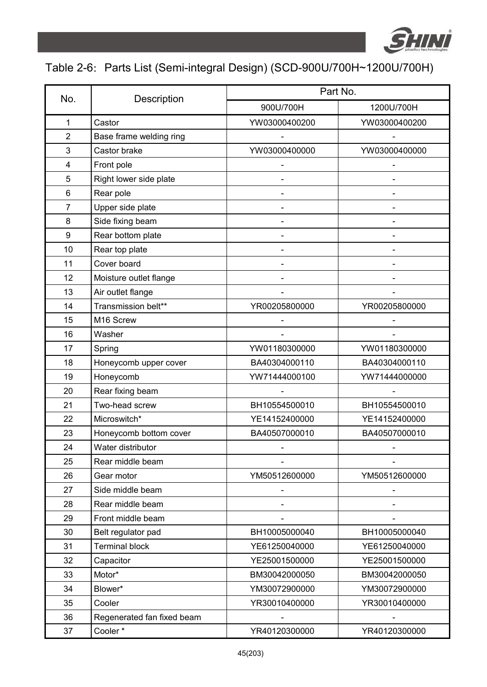

## Table 2-6: Parts List (Semi-integral Design) (SCD-900U/700H~1200U/700H)

| No.            |                            | Part No.      |               |  |  |
|----------------|----------------------------|---------------|---------------|--|--|
|                | Description                | 900U/700H     | 1200U/700H    |  |  |
| 1              | Castor                     | YW03000400200 | YW03000400200 |  |  |
| $\overline{2}$ | Base frame welding ring    |               |               |  |  |
| 3              | Castor brake               | YW03000400000 | YW03000400000 |  |  |
| 4              | Front pole                 |               |               |  |  |
| 5              | Right lower side plate     |               |               |  |  |
| 6              | Rear pole                  |               |               |  |  |
| 7              | Upper side plate           |               |               |  |  |
| 8              | Side fixing beam           |               |               |  |  |
| 9              | Rear bottom plate          |               |               |  |  |
| 10             | Rear top plate             |               |               |  |  |
| 11             | Cover board                |               |               |  |  |
| 12             | Moisture outlet flange     |               |               |  |  |
| 13             | Air outlet flange          |               |               |  |  |
| 14             | Transmission belt**        | YR00205800000 | YR00205800000 |  |  |
| 15             | M16 Screw                  |               |               |  |  |
| 16             | Washer                     |               |               |  |  |
| 17             | Spring                     | YW01180300000 | YW01180300000 |  |  |
| 18             | Honeycomb upper cover      | BA40304000110 | BA40304000110 |  |  |
| 19             | Honeycomb                  | YW71444000100 | YW71444000000 |  |  |
| 20             | Rear fixing beam           |               |               |  |  |
| 21             | Two-head screw             | BH10554500010 | BH10554500010 |  |  |
| 22             | Microswitch*               | YE14152400000 | YE14152400000 |  |  |
| 23             | Honeycomb bottom cover     | BA40507000010 | BA40507000010 |  |  |
| 24             | Water distributor          |               |               |  |  |
| 25             | Rear middle beam           |               |               |  |  |
| 26             | Gear motor                 | YM50512600000 | YM50512600000 |  |  |
| 27             | Side middle beam           |               |               |  |  |
| 28             | Rear middle beam           |               |               |  |  |
| 29             | Front middle beam          |               |               |  |  |
| 30             | Belt regulator pad         | BH10005000040 | BH10005000040 |  |  |
| 31             | <b>Terminal block</b>      | YE61250040000 | YE61250040000 |  |  |
| 32             | Capacitor                  | YE25001500000 | YE25001500000 |  |  |
| 33             | Motor*                     | BM30042000050 | BM30042000050 |  |  |
| 34             | Blower*                    | YM30072900000 | YM30072900000 |  |  |
| 35             | Cooler                     | YR30010400000 | YR30010400000 |  |  |
| 36             | Regenerated fan fixed beam |               |               |  |  |
| 37             | Cooler*                    | YR40120300000 | YR40120300000 |  |  |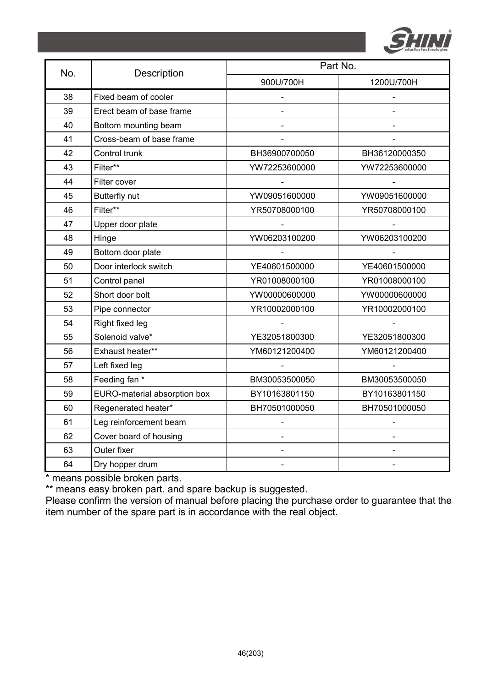

| No. | Description                  | Part No.      |               |  |  |
|-----|------------------------------|---------------|---------------|--|--|
|     |                              | 900U/700H     | 1200U/700H    |  |  |
| 38  | Fixed beam of cooler         |               |               |  |  |
| 39  | Erect beam of base frame     |               |               |  |  |
| 40  | Bottom mounting beam         |               |               |  |  |
| 41  | Cross-beam of base frame     |               |               |  |  |
| 42  | Control trunk                | BH36900700050 | BH36120000350 |  |  |
| 43  | Filter**                     | YW72253600000 | YW72253600000 |  |  |
| 44  | Filter cover                 |               |               |  |  |
| 45  | Butterfly nut                | YW09051600000 | YW09051600000 |  |  |
| 46  | Filter**                     | YR50708000100 | YR50708000100 |  |  |
| 47  | Upper door plate             |               |               |  |  |
| 48  | Hinge                        | YW06203100200 | YW06203100200 |  |  |
| 49  | Bottom door plate            |               |               |  |  |
| 50  | Door interlock switch        | YE40601500000 | YE40601500000 |  |  |
| 51  | Control panel                | YR01008000100 | YR01008000100 |  |  |
| 52  | Short door bolt              | YW00000600000 | YW00000600000 |  |  |
| 53  | Pipe connector               | YR10002000100 | YR10002000100 |  |  |
| 54  | Right fixed leg              |               |               |  |  |
| 55  | Solenoid valve*              | YE32051800300 | YE32051800300 |  |  |
| 56  | Exhaust heater**             | YM60121200400 | YM60121200400 |  |  |
| 57  | Left fixed leg               |               |               |  |  |
| 58  | Feeding fan *                | BM30053500050 | BM30053500050 |  |  |
| 59  | EURO-material absorption box | BY10163801150 | BY10163801150 |  |  |
| 60  | Regenerated heater*          | BH70501000050 | BH70501000050 |  |  |
| 61  | Leg reinforcement beam       |               |               |  |  |
| 62  | Cover board of housing       |               |               |  |  |
| 63  | Outer fixer                  |               |               |  |  |
| 64  | Dry hopper drum              |               |               |  |  |

\*\* means easy broken part. and spare backup is suggested.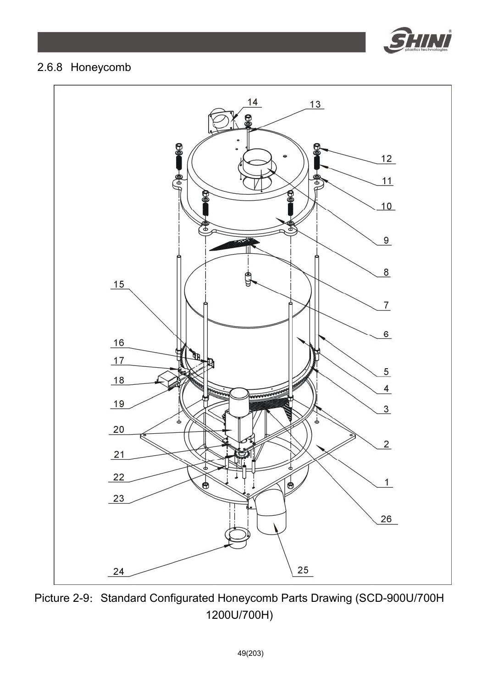

### 2.6.8 Honeycomb



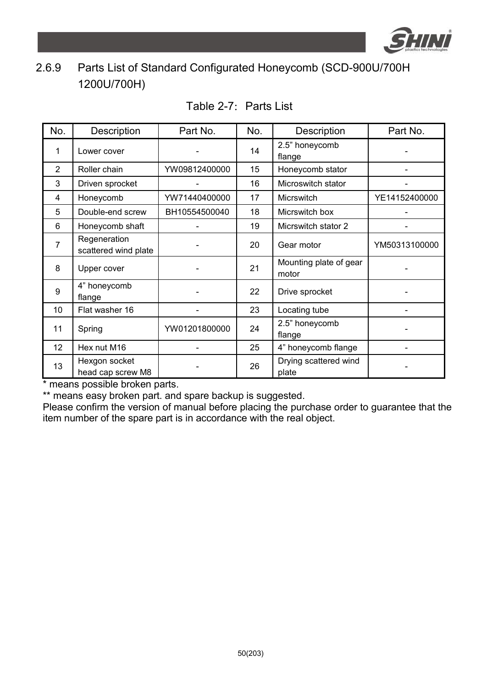

## 2.6.9 Parts List of Standard Configurated Honeycomb (SCD-900U/700H 1200U/700H)

| No.            | Description                          | Part No.      | No. | Description                     | Part No.      |
|----------------|--------------------------------------|---------------|-----|---------------------------------|---------------|
| 1              | Lower cover                          |               | 14  | 2.5" honeycomb<br>flange        |               |
| $\overline{2}$ | Roller chain                         | YW09812400000 | 15  | Honeycomb stator                |               |
| 3              | Driven sprocket                      |               | 16  | Microswitch stator              |               |
| 4              | Honeycomb                            | YW71440400000 | 17  | <b>Micrswitch</b>               | YE14152400000 |
| 5              | Double-end screw                     | BH10554500040 | 18  | Micrswitch box                  |               |
| 6              | Honeycomb shaft                      |               | 19  | Micrswitch stator 2             |               |
| 7              | Regeneration<br>scattered wind plate |               | 20  | Gear motor                      | YM50313100000 |
| 8              | Upper cover                          |               | 21  | Mounting plate of gear<br>motor |               |
| 9              | 4" honeycomb<br>flange               |               | 22  | Drive sprocket                  |               |
| 10             | Flat washer 16                       |               | 23  | Locating tube                   |               |
| 11             | Spring                               | YW01201800000 | 24  | 2.5" honeycomb<br>flange        |               |
| 12             | Hex nut M16                          |               | 25  | 4" honeycomb flange             |               |
| 13             | Hexgon socket<br>head cap screw M8   |               | 26  | Drying scattered wind<br>plate  |               |

#### Table 2-7: Parts List

\* means possible broken parts.

\*\* means easy broken part. and spare backup is suggested.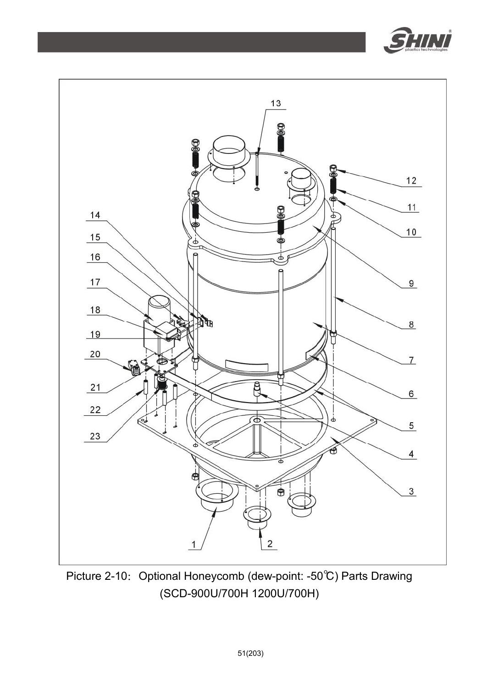



Picture 2-10: Optional Honeycomb (dew-point: -50℃) Parts Drawing (SCD-900U/700H 1200U/700H)